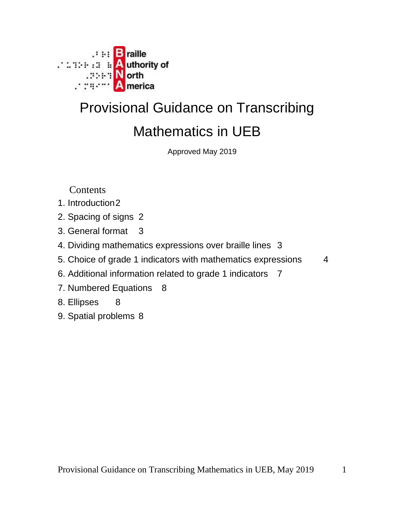

# Provisional Guidance on Transcribing Mathematics in UEB

Approved May 2019

Contents

- 1. Introduction2
- 2. Spacing of signs 2
- 3. General format 3
- 4. Dividing mathematics expressions over braille lines 3
- 5. Choice of grade 1 indicators with mathematics expressions 4
- 6. Additional information related to grade 1 indicators 7
- 7. Numbered Equations 8
- 8. Ellipses 8
- 9. Spatial problems 8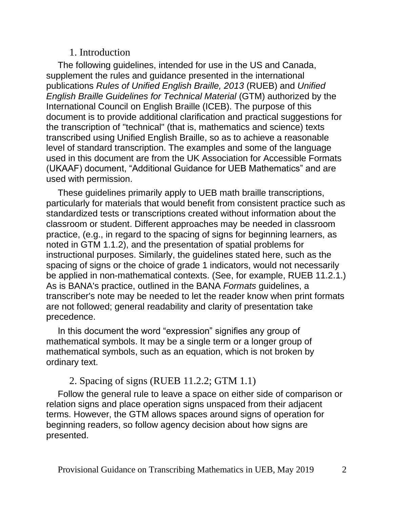#### 1. Introduction

The following guidelines, intended for use in the US and Canada, supplement the rules and guidance presented in the international publications *Rules of Unified English Braille, 2013* (RUEB) and *Unified English Braille Guidelines for Technical Material* (GTM) authorized by the International Council on English Braille (ICEB). The purpose of this document is to provide additional clarification and practical suggestions for the transcription of "technical" (that is, mathematics and science) texts transcribed using Unified English Braille, so as to achieve a reasonable level of standard transcription. The examples and some of the language used in this document are from the UK Association for Accessible Formats (UKAAF) document, "Additional Guidance for UEB Mathematics" and are used with permission.

These guidelines primarily apply to UEB math braille transcriptions, particularly for materials that would benefit from consistent practice such as standardized tests or transcriptions created without information about the classroom or student. Different approaches may be needed in classroom practice, (e.g., in regard to the spacing of signs for beginning learners, as noted in GTM 1.1.2), and the presentation of spatial problems for instructional purposes. Similarly, the guidelines stated here, such as the spacing of signs or the choice of grade 1 indicators, would not necessarily be applied in non-mathematical contexts. (See, for example, RUEB 11.2.1.) As is BANA's practice, outlined in the BANA *Formats* guidelines, a transcriber's note may be needed to let the reader know when print formats are not followed; general readability and clarity of presentation take precedence.

In this document the word "expression" signifies any group of mathematical symbols. It may be a single term or a longer group of mathematical symbols, such as an equation, which is not broken by ordinary text.

### 2. Spacing of signs (RUEB 11.2.2; GTM 1.1)

Follow the general rule to leave a space on either side of comparison or relation signs and place operation signs unspaced from their adjacent terms. However, the GTM allows spaces around signs of operation for beginning readers, so follow agency decision about how signs are presented.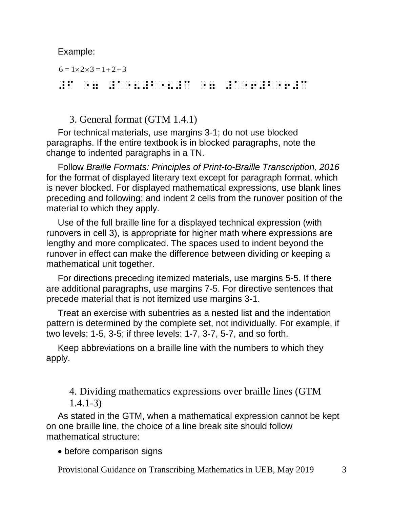Example:

 $6 = 1 \times 2 \times 3 = 1 + 2 + 3$ 

#f "7 #a"8#b"8#c "7 #a"6#b"6#c

#### 3. General format (GTM 1.4.1)

For technical materials, use margins 3-1; do not use blocked paragraphs. If the entire textbook is in blocked paragraphs, note the change to indented paragraphs in a TN.

Follow *Braille Formats: Principles of Print-to-Braille Transcription, 2016* for the format of displayed literary text except for paragraph format, which is never blocked. For displayed mathematical expressions, use blank lines preceding and following; and indent 2 cells from the runover position of the material to which they apply.

Use of the full braille line for a displayed technical expression (with runovers in cell 3), is appropriate for higher math where expressions are lengthy and more complicated. The spaces used to indent beyond the runover in effect can make the difference between dividing or keeping a mathematical unit together.

For directions preceding itemized materials, use margins 5-5. If there are additional paragraphs, use margins 7-5. For directive sentences that precede material that is not itemized use margins 3-1.

Treat an exercise with subentries as a nested list and the indentation pattern is determined by the complete set, not individually. For example, if two levels: 1-5, 3-5; if three levels: 1-7, 3-7, 5-7, and so forth.

Keep abbreviations on a braille line with the numbers to which they apply.

4. Dividing mathematics expressions over braille lines (GTM 1.4.1-3)

As stated in the GTM, when a mathematical expression cannot be kept on one braille line, the choice of a line break site should follow mathematical structure:

• before comparison signs

Provisional Guidance on Transcribing Mathematics in UEB, May 2019 3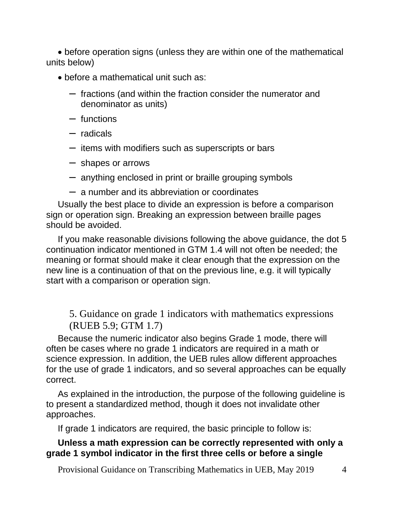• before operation signs (unless they are within one of the mathematical units below)

- before a mathematical unit such as:
	- fractions (and within the fraction consider the numerator and denominator as units)
	- functions
	- radicals
	- items with modifiers such as superscripts or bars
	- shapes or arrows
	- anything enclosed in print or braille grouping symbols
	- a number and its abbreviation or coordinates

Usually the best place to divide an expression is before a comparison sign or operation sign. Breaking an expression between braille pages should be avoided.

If you make reasonable divisions following the above guidance, the dot 5 continuation indicator mentioned in GTM 1.4 will not often be needed; the meaning or format should make it clear enough that the expression on the new line is a continuation of that on the previous line, e.g. it will typically start with a comparison or operation sign.

5. Guidance on grade 1 indicators with mathematics expressions (RUEB 5.9; GTM 1.7)

Because the numeric indicator also begins Grade 1 mode, there will often be cases where no grade 1 indicators are required in a math or science expression. In addition, the UEB rules allow different approaches for the use of grade 1 indicators, and so several approaches can be equally correct.

As explained in the introduction, the purpose of the following guideline is to present a standardized method, though it does not invalidate other approaches.

If grade 1 indicators are required, the basic principle to follow is:

#### **Unless a math expression can be correctly represented with only a grade 1 symbol indicator in the first three cells or before a single**

Provisional Guidance on Transcribing Mathematics in UEB, May 2019 4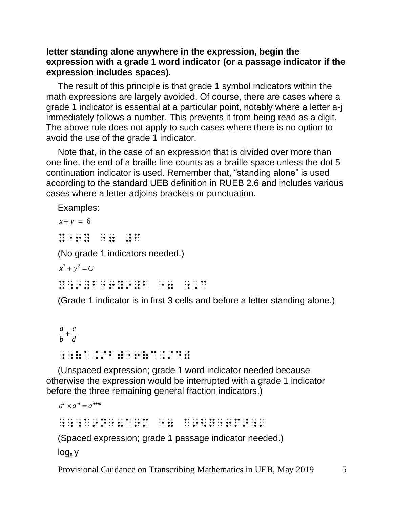#### **letter standing alone anywhere in the expression, begin the expression with a grade 1 word indicator (or a passage indicator if the expression includes spaces).**

The result of this principle is that grade 1 symbol indicators within the math expressions are largely avoided. Of course, there are cases where a grade 1 indicator is essential at a particular point, notably where a letter a-j immediately follows a number. This prevents it from being read as a digit. The above rule does not apply to such cases where there is no option to avoid the use of the grade 1 indicator.

Note that, in the case of an expression that is divided over more than one line, the end of a braille line counts as a braille space unless the dot 5 continuation indicator is used. Remember that, "standing alone" is used according to the standard UEB definition in RUEB 2.6 and includes various cases where a letter adjoins brackets or punctuation.

Examples:

 $x + y = 6$  $x^2 + y^2 + z^3 = 0$   $x^2 + y^2 + z^4 = 0$ <br> $x^2 + y^2 + z^5 = 0$   $x^2 + z^4 = 0$   $x^2 + z^3 = 0$ (No grade 1 indicators needed.)  $x^2 + y^2 = C$  $x_1$ ,  $y_2$ ,  $y_3$ ,  $y_4$ ,  $y_5$ ,  $y_6$ ,  $y_7$ ,  $y_8$ ,  $y_9$ ,  $y_9$ ,  $y_9$ ,  $y_9$ ,  $y_9$ ,  $y_9$ ,  $y_9$ ,  $y_9$ ,  $y_9$ ,  $y_9$ ,  $y_9$ ,  $y_9$ ,  $y_9$ ,  $y_9$ ,  $y_9$ ,  $y_9$ ,  $y_9$ ,  $y_9$ ,  $y_9$ ,  $y_9$ ,  $y_9$ ,  $y_9$ ,  $y_9$ ,  $y_9$ 

(Grade 1 indicator is in first 3 cells and before a letter standing alone.)

```
a c
\overline{b}<sup>+</sup>\overline{d};;(a./b)"6(c./d)
```
(Unspaced expression; grade 1 word indicator needed because otherwise the expression would be interrupted with a grade 1 indicator before the three remaining general fraction indicators.)

 $a^n \times a^m = a^{n+m}$ ;;;a9n"8a9m "7 a9<n"6m>;' (Spaced expression; grade 1 passage indicator needed.)

 $log<sub>x</sub>$  y

Provisional Guidance on Transcribing Mathematics in UEB, May 2019 5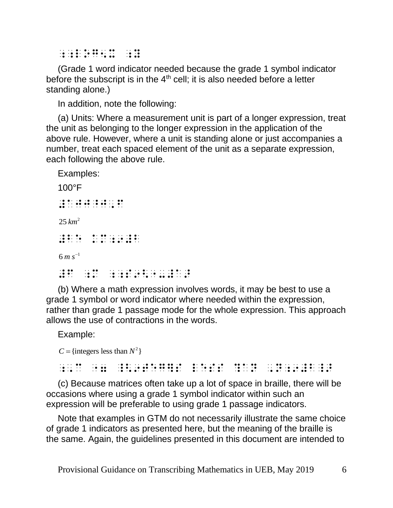;;LOG5X ;Y

(Grade 1 word indicator needed because the grade 1 symbol indicator before the subscript is in the  $4<sup>th</sup>$  cell; it is also needed before a letter standing alone.)

In addition, note the following:

(a) Units: Where a measurement unit is part of a longer expression, treat the unit as belonging to the longer expression in the application of the above rule. However, where a unit is standing alone or just accompanies a number, treat each spaced element of the unit as a separate expression, each following the above rule.

Examples:

100°F  $\frac{1}{2}$   $\frac{1}{2}$   $\frac{1}{2}$   $\frac{1}{2}$   $\frac{1}{2}$   $\frac{1}{2}$   $\frac{1}{2}$   $\frac{1}{2}$   $\frac{1}{2}$   $\frac{1}{2}$   $\frac{1}{2}$   $\frac{1}{2}$ 2 25 *km*  $\frac{1}{2}$   $\frac{1}{2}$   $\frac{1}{2}$   $\frac{1}{2}$   $\frac{1}{2}$   $\frac{1}{2}$   $\frac{1}{2}$   $\frac{1}{2}$   $\frac{1}{2}$   $\frac{1}{2}$   $\frac{1}{2}$   $\frac{1}{2}$   $\frac{1}{2}$   $\frac{1}{2}$   $\frac{1}{2}$   $\frac{1}{2}$   $\frac{1}{2}$   $\frac{1}{2}$   $\frac{1}{2}$   $\frac{1}{2}$   $\frac{1}{2}$   $\frac{1}{2}$   $6\,m\,s^{-1}$ #f ;m ;;s9<"-#a>

(b) Where a math expression involves words, it may be best to use a grade 1 symbol or word indicator where needed within the expression, rather than grade 1 passage mode for the whole expression. This approach allows the use of contractions in the words.

Example:

 $C = \{$ integers less than  $N^2$ 

 $\frac{1}{2}$ ; c  $\frac{1}{2}$ ; c  $\frac{1}{2}$ ; c  $\frac{1}{2}$ ; c  $\frac{1}{2}$ ; c  $\frac{1}{2}$ ; c  $\frac{1}{2}$ ; c  $\frac{1}{2}$ ; c  $\frac{1}{2}$ ; c  $\frac{1}{2}$ ; c  $\frac{1}{2}$ ; c  $\frac{1}{2}$ ; c  $\frac{1}{2}$ ; c  $\frac{1}{2}$ ; c  $\frac{1}{2}$ ; c  $\frac{1}{2}$ ; c  $\frac{1}{2}$ ; c

(c) Because matrices often take up a lot of space in braille, there will be occasions where using a grade 1 symbol indicator within such an expression will be preferable to using grade 1 passage indicators.

Note that examples in GTM do not necessarily illustrate the same choice of grade 1 indicators as presented here, but the meaning of the braille is the same. Again, the guidelines presented in this document are intended to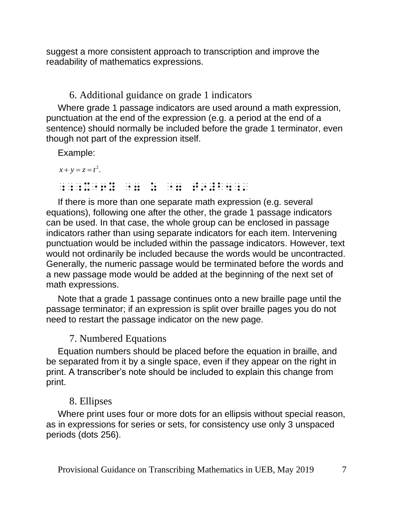suggest a more consistent approach to transcription and improve the readability of mathematics expressions.

6. Additional guidance on grade 1 indicators

Where grade 1 passage indicators are used around a math expression, punctuation at the end of the expression (e.g. a period at the end of a sentence) should normally be included before the grade 1 terminator, even though not part of the expression itself.

Example:

```
x + y = z = t^2.
;;;x"6y "7 z "7 t9#b4;'
```
If there is more than one separate math expression (e.g. several equations), following one after the other, the grade 1 passage indicators can be used. In that case, the whole group can be enclosed in passage indicators rather than using separate indicators for each item. Intervening punctuation would be included within the passage indicators. However, text would not ordinarily be included because the words would be uncontracted. Generally, the numeric passage would be terminated before the words and a new passage mode would be added at the beginning of the next set of math expressions.

Note that a grade 1 passage continues onto a new braille page until the passage terminator; if an expression is split over braille pages you do not need to restart the passage indicator on the new page.

# 7. Numbered Equations

Equation numbers should be placed before the equation in braille, and be separated from it by a single space, even if they appear on the right in print. A transcriber's note should be included to explain this change from print.

# 8. Ellipses

Where print uses four or more dots for an ellipsis without special reason, as in expressions for series or sets, for consistency use only 3 unspaced periods (dots 256).